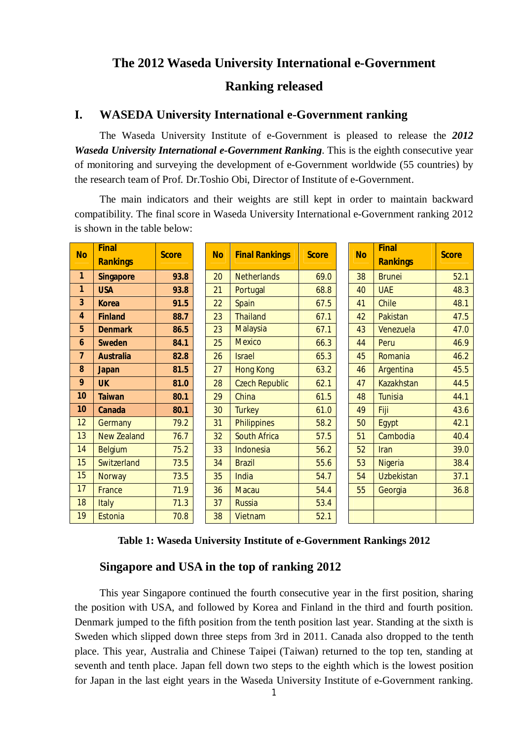# **The 2012 Waseda University International e-Government**

**Ranking released**

## **I. WASEDA University International e-Government ranking**

The Waseda University Institute of e-Government is pleased to release the *2012 Waseda University International e-Government Ranking*. This is the eighth consecutive year of monitoring and surveying the development of e-Government worldwide (55 countries) by the research team of Prof. Dr.Toshio Obi, Director of Institute of e-Government.

The main indicators and their weights are still kept in order to maintain backward compatibility. The final score in Waseda University International e-Government ranking 2012 is shown in the table below:

| <b>No</b>        | <b>Final</b><br><b>Rankings</b> | <b>Score</b> | <b>No</b> | <b>Final Rankings</b> | <b>Score</b> | <b>No</b> | <b>Final</b><br><b>Rankings</b> | <b>Score</b> |
|------------------|---------------------------------|--------------|-----------|-----------------------|--------------|-----------|---------------------------------|--------------|
| $\mathbf{1}$     | <b>Singapore</b>                | 93.8         | 20        | <b>Netherlands</b>    | 69.0         | 38        | <b>Brunei</b>                   | 52.1         |
| 1                | <b>USA</b>                      | 93.8         | 21        | Portugal              | 68.8         | 40        | <b>UAE</b>                      | 48.3         |
| 3                | <b>Korea</b>                    | 91.5         | 22        | <b>Spain</b>          | 67.5         | 41        | Chile                           | 48.1         |
| 4                | <b>Finland</b>                  | 88.7         | 23        | <b>Thailand</b>       | 67.1         | 42        | Pakistan                        | 47.5         |
| 5                | <b>Denmark</b>                  | 86.5         | 23        | <b>Malaysia</b>       | 67.1         | 43        | Venezuela                       | 47.0         |
| $\boldsymbol{6}$ | <b>Sweden</b>                   | 84.1         | 25        | <b>Mexico</b>         | 66.3         | 44        | Peru                            | 46.9         |
| $\overline{7}$   | <b>Australia</b>                | 82.8         | 26        | <b>Israel</b>         | 65.3         | 45        | Romania                         | 46.2         |
| 8                | <b>Japan</b>                    | 81.5         | 27        | <b>Hong Kong</b>      | 63.2         | 46        | Argentina                       | 45.5         |
| 9                | <b>UK</b>                       | 81.0         | 28        | <b>Czech Republic</b> | 62.1         | 47        | <b>Kazakhstan</b>               | 44.5         |
| 10               | <b>Taiwan</b>                   | 80.1         | 29        | China                 | 61.5         | 48        | <b>Tunisia</b>                  | 44.1         |
| 10               | <b>Canada</b>                   | 80.1         | 30        | <b>Turkey</b>         | 61.0         | 49        | Fiji                            | 43.6         |
| 12               | <b>Germany</b>                  | 79.2         | 31        | <b>Philippines</b>    | 58.2         | 50        | Egypt                           | 42.1         |
| 13               | <b>New Zealand</b>              | 76.7         | 32        | <b>South Africa</b>   | 57.5         | 51        | Cambodia                        | 40.4         |
| 14               | <b>Belgium</b>                  | 75.2         | 33        | Indonesia             | 56.2         | 52        | Iran                            | 39.0         |
| 15               | Switzerland                     | 73.5         | 34        | <b>Brazil</b>         | 55.6         | 53        | <b>Nigeria</b>                  | 38.4         |
| 15               | <b>Norway</b>                   | 73.5         | 35        | India                 | 54.7         | 54        | <b>Uzbekistan</b>               | 37.1         |
| 17               | France                          | 71.9         | 36        | <b>Macau</b>          | 54.4         | 55        | Georgia                         | 36.8         |
| 18               | Italy                           | 71.3         | 37        | <b>Russia</b>         | 53.4         |           |                                 |              |
| 19               | <b>Estonia</b>                  | 70.8         | 38        | Vietnam               | 52.1         |           |                                 |              |

**Table 1: Waseda University Institute of e-Government Rankings 2012**

#### **Singapore and USA in the top of ranking 2012**

This year Singapore continued the fourth consecutive year in the first position, sharing the position with USA, and followed by Korea and Finland in the third and fourth position. Denmark jumped to the fifth position from the tenth position last year. Standing at the sixth is Sweden which slipped down three steps from 3rd in 2011. Canada also dropped to the tenth place. This year, Australia and Chinese Taipei (Taiwan) returned to the top ten, standing at seventh and tenth place. Japan fell down two steps to the eighth which is the lowest position for Japan in the last eight years in the Waseda University Institute of e-Government ranking.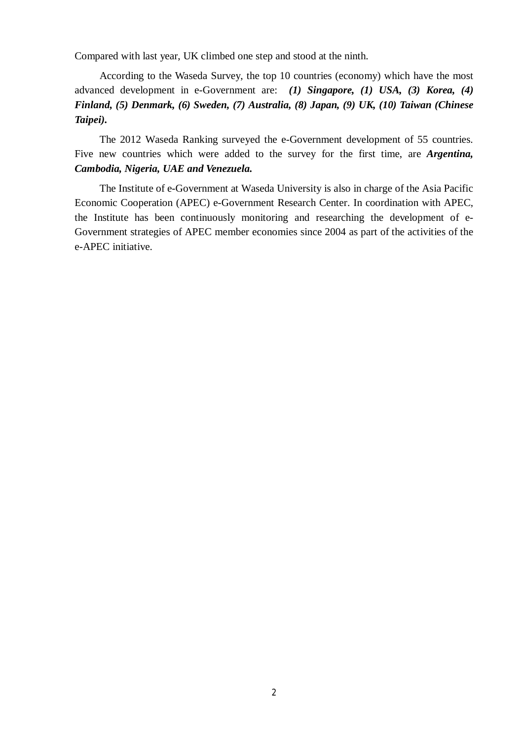Compared with last year, UK climbed one step and stood at the ninth.

According to the Waseda Survey, the top 10 countries (economy) which have the most advanced development in e-Government are: *(1) Singapore, (1) USA, (3) Korea, (4) Finland, (5) Denmark, (6) Sweden, (7) Australia, (8) Japan, (9) UK, (10) Taiwan (Chinese Taipei).*

The 2012 Waseda Ranking surveyed the e-Government development of 55 countries. Five new countries which were added to the survey for the first time, are *Argentina, Cambodia, Nigeria, UAE and Venezuela.*

The Institute of e-Government at Waseda University is also in charge of the Asia Pacific Economic Cooperation (APEC) e-Government Research Center. In coordination with APEC, the Institute has been continuously monitoring and researching the development of e-Government strategies of APEC member economies since 2004 as part of the activities of the e-APEC initiative.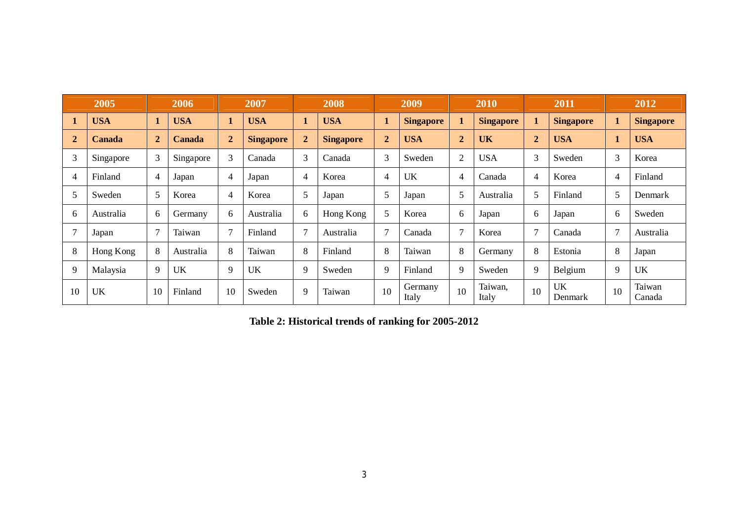| 2005         |               |                | 2006       |                | 2007             |                | 2008             |                | 2009             |                | 2010             |              | 2011             |                | 2012             |
|--------------|---------------|----------------|------------|----------------|------------------|----------------|------------------|----------------|------------------|----------------|------------------|--------------|------------------|----------------|------------------|
| 1            | <b>USA</b>    | $\mathbf{1}$   | <b>USA</b> |                | <b>USA</b>       |                | <b>USA</b>       |                | <b>Singapore</b> |                | <b>Singapore</b> |              | <b>Singapore</b> | $\mathbf{1}$   | <b>Singapore</b> |
| $\mathbf{2}$ | <b>Canada</b> | $\overline{2}$ | Canada     | $\overline{2}$ | <b>Singapore</b> | $\overline{2}$ | <b>Singapore</b> | $\overline{2}$ | <b>USA</b>       | $\overline{2}$ | <b>UK</b>        | $\mathbf{2}$ | <b>USA</b>       | 1              | <b>USA</b>       |
| 3            | Singapore     | 3              | Singapore  | 3              | Canada           | 3              | Canada           | 3              | Sweden           | 2              | <b>USA</b>       | 3            | Sweden           | 3              | Korea            |
| 4            | Finland       | $\overline{4}$ | Japan      | 4              | Japan            | 4              | Korea            | 4              | UK               | 4              | Canada           | 4            | Korea            | 4              | Finland          |
| 5            | Sweden        | 5              | Korea      | 4              | Korea            | 5              | Japan            | 5              | Japan            | 5              | Australia        | 5            | Finland          | 5              | Denmark          |
| 6            | Australia     | 6              | Germany    | 6              | Australia        | 6              | Hong Kong        | 5              | Korea            | 6              | Japan            | 6            | Japan            | 6              | Sweden           |
| 7            | Japan         | $\overline{7}$ | Taiwan     | 7              | Finland          | 7              | Australia        | 7              | Canada           | 7              | Korea            | 7            | Canada           | $\overline{7}$ | Australia        |
| 8            | Hong Kong     | 8              | Australia  | 8              | Taiwan           | 8              | Finland          | 8              | Taiwan           | 8              | Germany          | 8            | Estonia          | 8              | Japan            |
| 9            | Malaysia      | 9              | UK         | 9              | <b>UK</b>        | 9              | Sweden           | 9              | Finland          | 9              | Sweden           | 9            | Belgium          | 9              | <b>UK</b>        |
| 10           | UK            | 10             | Finland    | 10             | Sweden           | 9              | Taiwan           | 10             | Germany<br>Italy | 10             | Taiwan,<br>Italy | 10           | UK<br>Denmark    | 10             | Taiwan<br>Canada |

**Table 2: Historical trends of ranking for 2005-2012**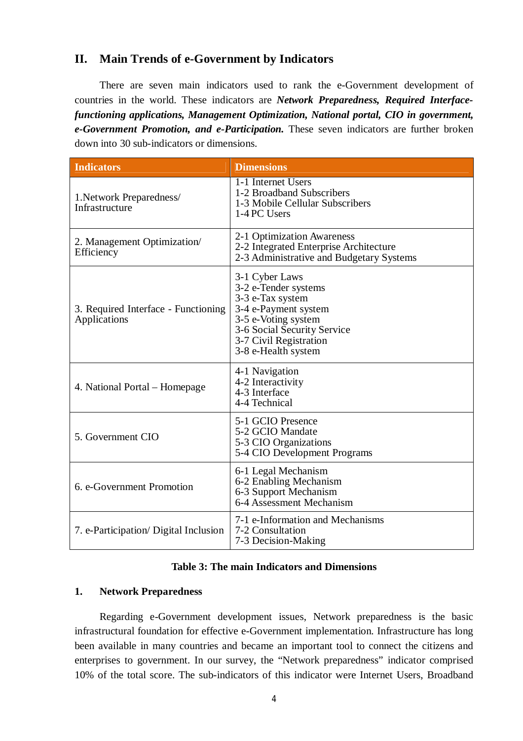## **II. Main Trends of e-Government by Indicators**

There are seven main indicators used to rank the e-Government development of countries in the world. These indicators are *Network Preparedness, Required Interfacefunctioning applications, Management Optimization, National portal, CIO in government, e-Government Promotion, and e-Participation.* These seven indicators are further broken down into 30 sub-indicators or dimensions.

| <b>Indicators</b>                                   | <b>Dimensions</b>                                                                                                                                                                         |
|-----------------------------------------------------|-------------------------------------------------------------------------------------------------------------------------------------------------------------------------------------------|
| 1. Network Preparedness/<br>Infrastructure          | 1-1 Internet Users<br>1-2 Broadband Subscribers<br>1-3 Mobile Cellular Subscribers<br>1-4 PC Users                                                                                        |
| 2. Management Optimization/<br>Efficiency           | 2-1 Optimization Awareness<br>2-2 Integrated Enterprise Architecture<br>2-3 Administrative and Budgetary Systems                                                                          |
| 3. Required Interface - Functioning<br>Applications | 3-1 Cyber Laws<br>3-2 e-Tender systems<br>3-3 e-Tax system<br>3-4 e-Payment system<br>3-5 e-Voting system<br>3-6 Social Security Service<br>3-7 Civil Registration<br>3-8 e-Health system |
| 4. National Portal – Homepage                       | 4-1 Navigation<br>4-2 Interactivity<br>4-3 Interface<br>4-4 Technical                                                                                                                     |
| 5. Government CIO                                   | 5-1 GCIO Presence<br>5-2 GCIO Mandate<br>5-3 CIO Organizations<br>5-4 CIO Development Programs                                                                                            |
| 6. e-Government Promotion                           | 6-1 Legal Mechanism<br>6-2 Enabling Mechanism<br>6-3 Support Mechanism<br>6-4 Assessment Mechanism                                                                                        |
| 7. e-Participation/Digital Inclusion                | 7-1 e-Information and Mechanisms<br>7-2 Consultation<br>7-3 Decision-Making                                                                                                               |

#### **Table 3: The main Indicators and Dimensions**

#### **1. Network Preparedness**

Regarding e-Government development issues, Network preparedness is the basic infrastructural foundation for effective e-Government implementation. Infrastructure has long been available in many countries and became an important tool to connect the citizens and enterprises to government. In our survey, the "Network preparedness" indicator comprised 10% of the total score. The sub-indicators of this indicator were Internet Users, Broadband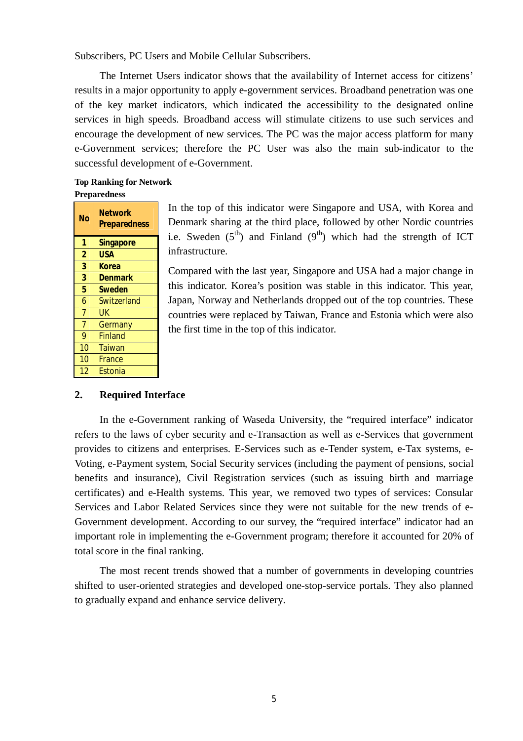Subscribers, PC Users and Mobile Cellular Subscribers.

The Internet Users indicator shows that the availability of Internet access for citizens' results in a major opportunity to apply e-government services. Broadband penetration was one of the key market indicators, which indicated the accessibility to the designated online services in high speeds. Broadband access will stimulate citizens to use such services and encourage the development of new services. The PC was the major access platform for many e-Government services; therefore the PC User was also the main sub-indicator to the successful development of e-Government.

#### **Top Ranking for Network Preparedness**

| No             | <b>Network</b><br><b>Preparedness</b> |
|----------------|---------------------------------------|
| 1              | <b>Singapore</b>                      |
| $\overline{2}$ | USA                                   |
| 3              | Korea                                 |
| 3              | <b>Denmark</b>                        |
| 5              | <b>Sweden</b>                         |
| 6              | Switzerland                           |
| $\overline{7}$ | UK                                    |
| $\overline{7}$ | Germany                               |
| 9              | <b>Finland</b>                        |
| 10             | <b>Taiwan</b>                         |
| 10             | France                                |
| 12             | Estonia                               |

In the top of this indicator were Singapore and USA, with Korea and Denmark sharing at the third place, followed by other Nordic countries i.e. Sweden  $(5<sup>th</sup>)$  and Finland  $(9<sup>th</sup>)$  which had the strength of ICT infrastructure.

Compared with the last year, Singapore and USA had a major change in this indicator. Korea's position was stable in this indicator. This year, Japan, Norway and Netherlands dropped out of the top countries. These countries were replaced by Taiwan, France and Estonia which were also the first time in the top of this indicator.

#### **2. Required Interface**

In the e-Government ranking of Waseda University, the "required interface" indicator refers to the laws of cyber security and e-Transaction as well as e-Services that government provides to citizens and enterprises. E-Services such as e-Tender system, e-Tax systems, e-Voting, e-Payment system, Social Security services (including the payment of pensions, social benefits and insurance), Civil Registration services (such as issuing birth and marriage certificates) and e-Health systems. This year, we removed two types of services: Consular Services and Labor Related Services since they were not suitable for the new trends of e-Government development. According to our survey, the "required interface" indicator had an important role in implementing the e-Government program; therefore it accounted for 20% of total score in the final ranking.

The most recent trends showed that a number of governments in developing countries shifted to user-oriented strategies and developed one-stop-service portals. They also planned to gradually expand and enhance service delivery.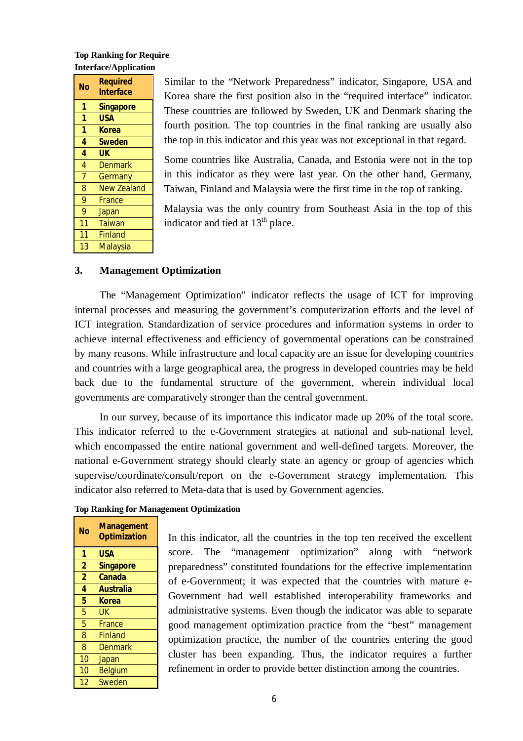#### **Top Ranking for Require Interface/Application**

| No             | <b>Required</b><br><b>Interface</b> |  |  |  |  |
|----------------|-------------------------------------|--|--|--|--|
| 1              | <b>Singapore</b>                    |  |  |  |  |
| 1              | USA                                 |  |  |  |  |
| 1              | <b>Korea</b>                        |  |  |  |  |
| 4              | <b>Sweden</b>                       |  |  |  |  |
| 4              | <b>UK</b>                           |  |  |  |  |
| $\overline{4}$ | <b>Denmark</b>                      |  |  |  |  |
| $\overline{7}$ | Germany                             |  |  |  |  |
| 8              | <b>New Zealand</b>                  |  |  |  |  |
| 9              | France                              |  |  |  |  |
| 9              | Japan                               |  |  |  |  |
| 11             | Taiwan                              |  |  |  |  |
| 11             | <b>Finland</b>                      |  |  |  |  |
| 13             | Malaysia                            |  |  |  |  |

Similar to the "Network Preparedness" indicator, Singapore, USA and Korea share the first position also in the "required interface" indicator. These countries are followed by Sweden, UK and Denmark sharing the fourth position. The top countries in the final ranking are usually also the top in this indicator and this year was not exceptional in that regard.

Some countries like Australia, Canada, and Estonia were not in the top in this indicator as they were last year. On the other hand, Germany, Taiwan, Finland and Malaysia were the first time in the top of ranking.

Malaysia was the only country from Southeast Asia in the top of this indicator and tied at  $13<sup>th</sup>$  place.

#### **3. Management Optimization**

The "Management Optimization" indicator reflects the usage of ICT for improving internal processes and measuring the government's computerization efforts and the level of ICT integration. Standardization of service procedures and information systems in order to achieve internal effectiveness and efficiency of governmental operations can be constrained by many reasons. While infrastructure and local capacity are an issue for developing countries and countries with a large geographical area, the progress in developed countries may be held back due to the fundamental structure of the government, wherein individual local governments are comparatively stronger than the central government.

In our survey, because of its importance this indicator made up 20% of the total score. This indicator referred to the e-Government strategies at national and sub-national level, which encompassed the entire national government and well-defined targets. Moreover, the national e-Government strategy should clearly state an agency or group of agencies which supervise/coordinate/consult/report on the e-Government strategy implementation. This indicator also referred to Meta-data that is used by Government agencies.

| No             | <b>Management</b><br><b>Optimization</b> |
|----------------|------------------------------------------|
| 1              | <b>USA</b>                               |
| $\overline{2}$ | <b>Singapore</b>                         |
| $\overline{2}$ | Canada                                   |
| 4              | <b>Australia</b>                         |
| 5              | <b>Korea</b>                             |
| 5              | UK                                       |
| 5              | France                                   |
| 8              | <b>Finland</b>                           |
| 8              | <b>Denmark</b>                           |
| 10             | Japan                                    |
| 10             | <b>Belgium</b>                           |
| 12             | Sweden                                   |

**Top Ranking for Management Optimization**

In this indicator, all the countries in the top ten received the excellent score. The "management optimization" along with "network preparedness" constituted foundations for the effective implementation of e-Government; it was expected that the countries with mature e-Government had well established interoperability frameworks and administrative systems. Even though the indicator was able to separate good management optimization practice from the "best" management optimization practice, the number of the countries entering the good cluster has been expanding. Thus, the indicator requires a further refinement in order to provide better distinction among the countries.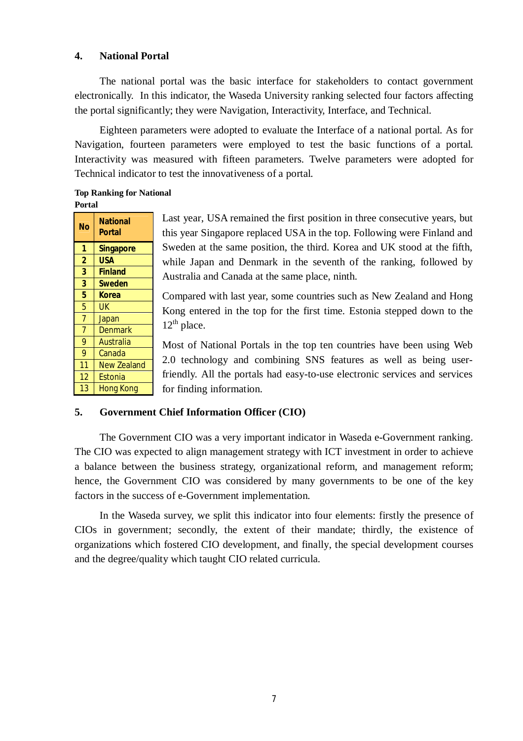## **4. National Portal**

The national portal was the basic interface for stakeholders to contact government electronically. In this indicator, the Waseda University ranking selected four factors affecting the portal significantly; they were Navigation, Interactivity, Interface, and Technical.

Eighteen parameters were adopted to evaluate the Interface of a national portal. As for Navigation, fourteen parameters were employed to test the basic functions of a portal. Interactivity was measured with fifteen parameters. Twelve parameters were adopted for Technical indicator to test the innovativeness of a portal.

#### **Top Ranking for National Portal**

| <b>No</b>      | National<br><b>Portal</b> |
|----------------|---------------------------|
| 1              | <b>Singapore</b>          |
| $\overline{2}$ | <b>USA</b>                |
| 3              | <b>Finland</b>            |
| 3              | <b>Sweden</b>             |
| 5              | <b>Korea</b>              |
| 5              | UK                        |
| $\overline{7}$ | Japan                     |
| $\overline{7}$ | <b>Denmark</b>            |
| 9              | Australia                 |
| $\overline{9}$ | Canada                    |
| 11             | <b>New Zealand</b>        |
| 12             | Estonia                   |
| 13             | <b>Hong Kong</b>          |

Last year, USA remained the first position in three consecutive years, but this year Singapore replaced USA in the top. Following were Finland and Sweden at the same position, the third. Korea and UK stood at the fifth, while Japan and Denmark in the seventh of the ranking, followed by Australia and Canada at the same place, ninth.

Compared with last year, some countries such as New Zealand and Hong Kong entered in the top for the first time. Estonia stepped down to the  $12^{th}$  place.

Most of National Portals in the top ten countries have been using Web 2.0 technology and combining SNS features as well as being userfriendly. All the portals had easy-to-use electronic services and services for finding information.

#### **5. Government Chief Information Officer (CIO)**

The Government CIO was a very important indicator in Waseda e-Government ranking. The CIO was expected to align management strategy with ICT investment in order to achieve a balance between the business strategy, organizational reform, and management reform; hence, the Government CIO was considered by many governments to be one of the key factors in the success of e-Government implementation.

In the Waseda survey, we split this indicator into four elements: firstly the presence of CIOs in government; secondly, the extent of their mandate; thirdly, the existence of organizations which fostered CIO development, and finally, the special development courses and the degree/quality which taught CIO related curricula.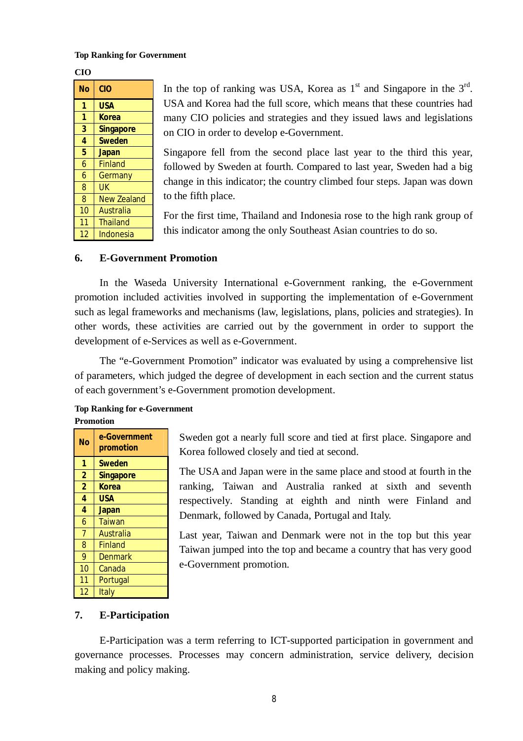#### **Top Ranking for Government**

**CIO**

| Nο | <b>CIO</b>         |
|----|--------------------|
| 1  | <b>USA</b>         |
| 1  | <b>Korea</b>       |
| 3  | <b>Singapore</b>   |
| 4  | <b>Sweden</b>      |
| 5  | <b>Japan</b>       |
| 6  | <b>Finland</b>     |
| 6  | Germany            |
| 8  | UK                 |
| 8  | <b>New Zealand</b> |
| 10 | Australia          |
| 11 | <b>Thailand</b>    |
| 12 | Indonesia          |

In the top of ranking was USA, Korea as  $1<sup>st</sup>$  and Singapore in the  $3<sup>rd</sup>$ . USA and Korea had the full score, which means that these countries had many CIO policies and strategies and they issued laws and legislations on CIO in order to develop e-Government.

Singapore fell from the second place last year to the third this year, followed by Sweden at fourth. Compared to last year, Sweden had a big change in this indicator; the country climbed four steps. Japan was down to the fifth place.

For the first time, Thailand and Indonesia rose to the high rank group of this indicator among the only Southeast Asian countries to do so.

## **6. E-Government Promotion**

In the Waseda University International e-Government ranking, the e-Government promotion included activities involved in supporting the implementation of e-Government such as legal frameworks and mechanisms (law, legislations, plans, policies and strategies). In other words, these activities are carried out by the government in order to support the development of e-Services as well as e-Government.

The "e-Government Promotion" indicator was evaluated by using a comprehensive list of parameters, which judged the degree of development in each section and the current status of each government's e-Government promotion development.

#### **Top Ranking for e-Government Promotion**

| No             | e-Government<br>promotion |
|----------------|---------------------------|
| 1              | <b>Sweden</b>             |
| $\overline{2}$ | <b>Singapore</b>          |
| $\overline{2}$ | <b>Korea</b>              |
| 4              | USA                       |
| 4              | <b>Japan</b>              |
| 6              | Taiwan                    |
| $\overline{7}$ | Australia                 |
| 8              | <b>Finland</b>            |
| 9              | <b>Denmark</b>            |
| 10             | Canada                    |
| 11             | Portugal                  |
| 12             | Italy                     |

Sweden got a nearly full score and tied at first place. Singapore and Korea followed closely and tied at second.

The USA and Japan were in the same place and stood at fourth in the ranking, Taiwan and Australia ranked at sixth and seventh respectively. Standing at eighth and ninth were Finland and Denmark, followed by Canada, Portugal and Italy.

Last year, Taiwan and Denmark were not in the top but this year Taiwan jumped into the top and became a country that has very good e-Government promotion.

## **7. E-Participation**

E-Participation was a term referring to ICT-supported participation in government and governance processes. Processes may concern administration, service delivery, decision making and policy making.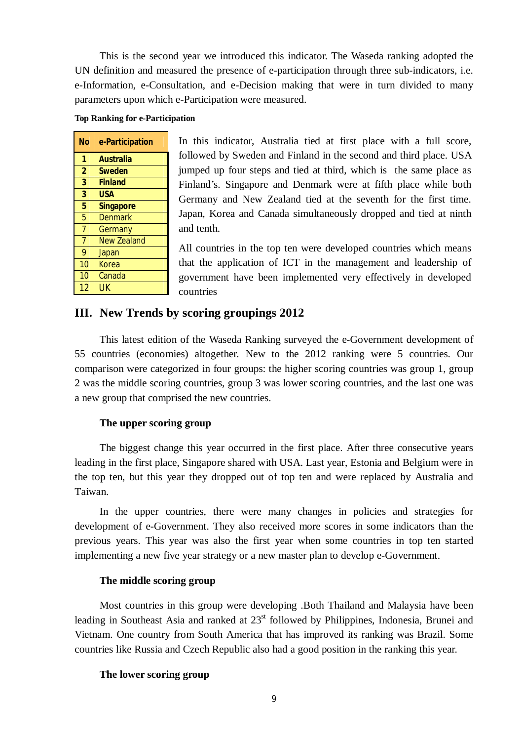This is the second year we introduced this indicator. The Waseda ranking adopted the UN definition and measured the presence of e-participation through three sub-indicators, i.e. e-Information, e-Consultation, and e-Decision making that were in turn divided to many parameters upon which e-Participation were measured.

#### **Top Ranking for e-Participation**

| No             | e-Participation    |
|----------------|--------------------|
| 1              | <b>Australia</b>   |
| $\overline{2}$ | <b>Sweden</b>      |
| 3              | <b>Finland</b>     |
| $\overline{3}$ | <b>USA</b>         |
| 5              | <b>Singapore</b>   |
| $\overline{5}$ | <b>Denmark</b>     |
| $\overline{7}$ | Germany            |
| $\overline{7}$ | <b>New Zealand</b> |
| 9              | Japan              |
| 10             | Korea              |
| 10             | Canada             |
| 12             | UK                 |

In this indicator, Australia tied at first place with a full score, followed by Sweden and Finland in the second and third place. USA jumped up four steps and tied at third, which is the same place as Finland's. Singapore and Denmark were at fifth place while both Germany and New Zealand tied at the seventh for the first time. Japan, Korea and Canada simultaneously dropped and tied at ninth and tenth.

All countries in the top ten were developed countries which means that the application of ICT in the management and leadership of government have been implemented very effectively in developed countries

## **III. New Trends by scoring groupings 2012**

This latest edition of the Waseda Ranking surveyed the e-Government development of 55 countries (economies) altogether. New to the 2012 ranking were 5 countries. Our comparison were categorized in four groups: the higher scoring countries was group 1, group 2 was the middle scoring countries, group 3 was lower scoring countries, and the last one was a new group that comprised the new countries.

#### **The upper scoring group**

The biggest change this year occurred in the first place. After three consecutive years leading in the first place, Singapore shared with USA. Last year, Estonia and Belgium were in the top ten, but this year they dropped out of top ten and were replaced by Australia and Taiwan.

In the upper countries, there were many changes in policies and strategies for development of e-Government. They also received more scores in some indicators than the previous years. This year was also the first year when some countries in top ten started implementing a new five year strategy or a new master plan to develop e-Government.

#### **The middle scoring group**

Most countries in this group were developing .Both Thailand and Malaysia have been leading in Southeast Asia and ranked at  $23<sup>st</sup>$  followed by Philippines, Indonesia, Brunei and Vietnam. One country from South America that has improved its ranking was Brazil. Some countries like Russia and Czech Republic also had a good position in the ranking this year.

#### **The lower scoring group**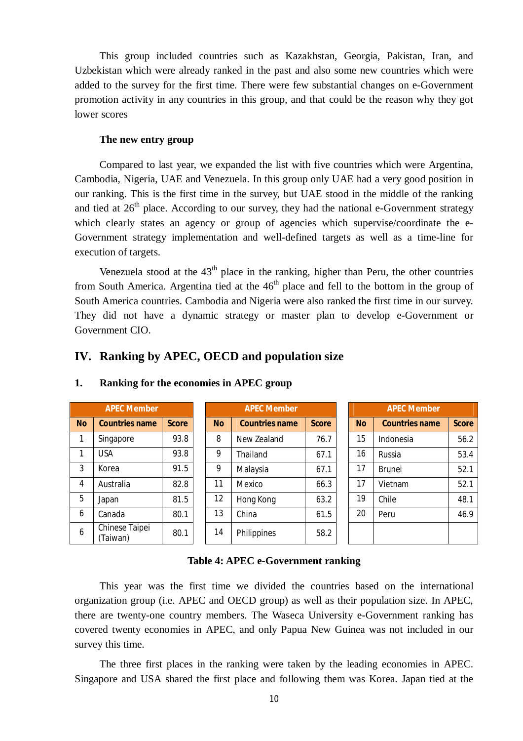This group included countries such as Kazakhstan, Georgia, Pakistan, Iran, and Uzbekistan which were already ranked in the past and also some new countries which were added to the survey for the first time. There were few substantial changes on e-Government promotion activity in any countries in this group, and that could be the reason why they got lower scores

#### **The new entry group**

Compared to last year, we expanded the list with five countries which were Argentina, Cambodia, Nigeria, UAE and Venezuela. In this group only UAE had a very good position in our ranking. This is the first time in the survey, but UAE stood in the middle of the ranking and tied at  $26<sup>th</sup>$  place. According to our survey, they had the national e-Government strategy which clearly states an agency or group of agencies which supervise/coordinate the e-Government strategy implementation and well-defined targets as well as a time-line for execution of targets.

Venezuela stood at the  $43<sup>th</sup>$  place in the ranking, higher than Peru, the other countries from South America. Argentina tied at the  $46<sup>th</sup>$  place and fell to the bottom in the group of South America countries. Cambodia and Nigeria were also ranked the first time in our survey. They did not have a dynamic strategy or master plan to develop e-Government or Government CIO.

## **IV. Ranking by APEC, OECD and population size**

| <b>APEC Member</b> |                            |              |  | <b>APEC Member</b> |                       |              |  | <b>APEC Member</b> |                       |              |  |
|--------------------|----------------------------|--------------|--|--------------------|-----------------------|--------------|--|--------------------|-----------------------|--------------|--|
| <b>No</b>          | <b>Countries name</b>      | <b>Score</b> |  | <b>No</b>          | <b>Countries name</b> | <b>Score</b> |  | <b>No</b>          | <b>Countries name</b> | <b>Score</b> |  |
| 1                  | Singapore                  | 93.8         |  | 8                  | New Zealand           | 76.7         |  | 15                 | Indonesia             | 56.2         |  |
|                    | <b>USA</b>                 | 93.8         |  | 9                  | Thailand              | 67.1         |  | 16                 | Russia                | 53.4         |  |
| 3                  | Korea                      | 91.5         |  | 9                  | Malaysia              | 67.1         |  | 17                 | <b>Brunei</b>         | 52.1         |  |
| 4                  | Australia                  | 82.8         |  | 11                 | Mexico                | 66.3         |  | 17                 | Vietnam               | 52.1         |  |
| 5                  | Japan                      | 81.5         |  | 12                 | Hong Kong             | 63.2         |  | 19                 | Chile                 | 48.1         |  |
| 6                  | Canada                     | 80.1         |  | 13                 | China                 | 61.5         |  | 20                 | Peru                  | 46.9         |  |
| 6                  | Chinese Taipei<br>(Taiwan) | 80.1         |  | 14                 | Philippines           | 58.2         |  |                    |                       |              |  |

#### **1. Ranking for the economies in APEC group**

#### **Table 4: APEC e-Government ranking**

This year was the first time we divided the countries based on the international organization group (i.e. APEC and OECD group) as well as their population size. In APEC, there are twenty-one country members. The Waseca University e-Government ranking has covered twenty economies in APEC, and only Papua New Guinea was not included in our survey this time.

The three first places in the ranking were taken by the leading economies in APEC. Singapore and USA shared the first place and following them was Korea. Japan tied at the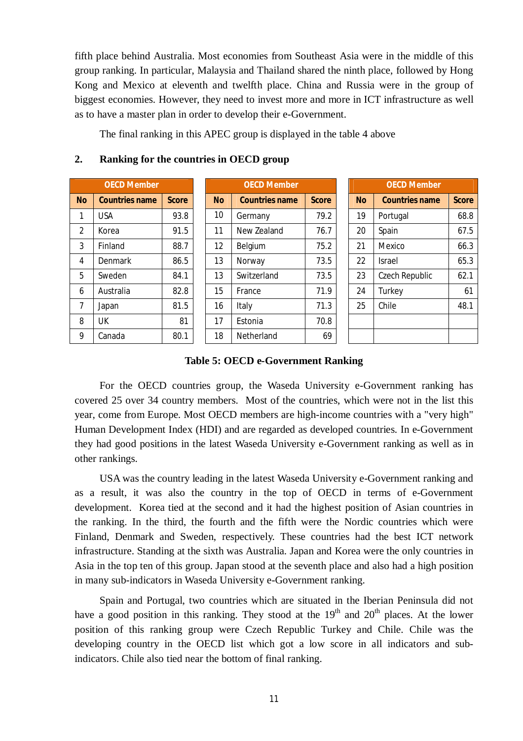fifth place behind Australia. Most economies from Southeast Asia were in the middle of this group ranking. In particular, Malaysia and Thailand shared the ninth place, followed by Hong Kong and Mexico at eleventh and twelfth place. China and Russia were in the group of biggest economies. However, they need to invest more and more in ICT infrastructure as well as to have a master plan in order to develop their e-Government.

The final ranking in this APEC group is displayed in the table 4 above

#### **2. Ranking for the countries in OECD group**

| <b>OECD Member</b> |                       |              |  |  |  |  |  |
|--------------------|-----------------------|--------------|--|--|--|--|--|
| <b>No</b>          | <b>Countries name</b> | <b>Score</b> |  |  |  |  |  |
| 1                  | USA                   | 93.8         |  |  |  |  |  |
| $\overline{2}$     | Korea                 | 91.5         |  |  |  |  |  |
| 3                  | Finland               | 88.7         |  |  |  |  |  |
| 4                  | Denmark               | 86.5         |  |  |  |  |  |
| 5                  | Sweden                | 84.1         |  |  |  |  |  |
| 6                  | Australia             | 82.8         |  |  |  |  |  |
| $\overline{7}$     | Japan                 | 81.5         |  |  |  |  |  |
| 8                  | UК                    | 81           |  |  |  |  |  |
| 9                  | Canada                | 80.1         |  |  |  |  |  |

| <b>OECD Member</b> |                       |              |  | <b>OECD Member</b> |                       |              |  | <b>OECD Member</b> |                       |              |  |
|--------------------|-----------------------|--------------|--|--------------------|-----------------------|--------------|--|--------------------|-----------------------|--------------|--|
| <b>No</b>          | <b>Countries name</b> | <b>Score</b> |  | <b>No</b>          | <b>Countries name</b> | <b>Score</b> |  | <b>No</b>          | <b>Countries name</b> | <b>Score</b> |  |
| $\mathbf{1}$       | <b>USA</b>            | 93.8         |  | 10                 | Germany               | 79.2         |  | 19                 | Portugal              | 68.8         |  |
| 2                  | Korea                 | 91.5         |  | 11                 | New Zealand           | 76.7         |  | 20                 | Spain                 | 67.5         |  |
| 3                  | Finland               | 88.7         |  | 12                 | Belgium               | 75.2         |  | 21<br>Mexico       |                       | 66.3         |  |
| 4                  | Denmark               | 86.5         |  | 13                 | Norway                | 73.5         |  | 22                 | <b>Israel</b>         | 65.3         |  |
| 5                  | Sweden                | 84.1         |  | 13                 | Switzerland           | 73.5         |  | 23                 | Czech Republic        | 62.1         |  |
| 6                  | Australia             | 82.8         |  | 15                 | France                | 71.9         |  | 24                 | Turkey                | 61           |  |
| $\overline{7}$     | Japan                 | 81.5         |  | 16                 | Italy                 | 71.3         |  | 25                 | Chile                 | 48.1         |  |
| 8                  | <b>UK</b>             | 81           |  | 17                 | Estonia               | 70.8         |  |                    |                       |              |  |
| 9                  | Canada                | 80.1         |  | 18                 | Netherland            | 69           |  |                    |                       |              |  |

| <b>OECD Member</b> |                       |              |  |  |  |  |  |  |
|--------------------|-----------------------|--------------|--|--|--|--|--|--|
| <b>No</b>          | <b>Countries name</b> | <b>Score</b> |  |  |  |  |  |  |
| 19                 | Portugal              | 68.8         |  |  |  |  |  |  |
| 20                 | Spain                 | 67.5         |  |  |  |  |  |  |
| 21                 | Mexico                | 66.3         |  |  |  |  |  |  |
| 22                 | Israel                | 65.3         |  |  |  |  |  |  |
| 23                 | Czech Republic        | 62.1         |  |  |  |  |  |  |
| 24                 | Turkey                | 61           |  |  |  |  |  |  |
| 25                 | Chile                 | 48.1         |  |  |  |  |  |  |
|                    |                       |              |  |  |  |  |  |  |
|                    |                       |              |  |  |  |  |  |  |

#### **Table 5: OECD e-Government Ranking**

For the OECD countries group, the Waseda University e-Government ranking has covered 25 over 34 country members. Most of the countries, which were not in the list this year, come from Europe. Most OECD members are high-income countries with a "very high" Human Development Index (HDI) and are regarded as developed countries. In e-Government they had good positions in the latest Waseda University e-Government ranking as well as in other rankings.

USA was the country leading in the latest Waseda University e-Government ranking and as a result, it was also the country in the top of OECD in terms of e-Government development. Korea tied at the second and it had the highest position of Asian countries in the ranking. In the third, the fourth and the fifth were the Nordic countries which were Finland, Denmark and Sweden, respectively. These countries had the best ICT network infrastructure. Standing at the sixth was Australia. Japan and Korea were the only countries in Asia in the top ten of this group. Japan stood at the seventh place and also had a high position in many sub-indicators in Waseda University e-Government ranking.

Spain and Portugal, two countries which are situated in the Iberian Peninsula did not have a good position in this ranking. They stood at the  $19<sup>th</sup>$  and  $20<sup>th</sup>$  places. At the lower position of this ranking group were Czech Republic Turkey and Chile. Chile was the developing country in the OECD list which got a low score in all indicators and subindicators. Chile also tied near the bottom of final ranking.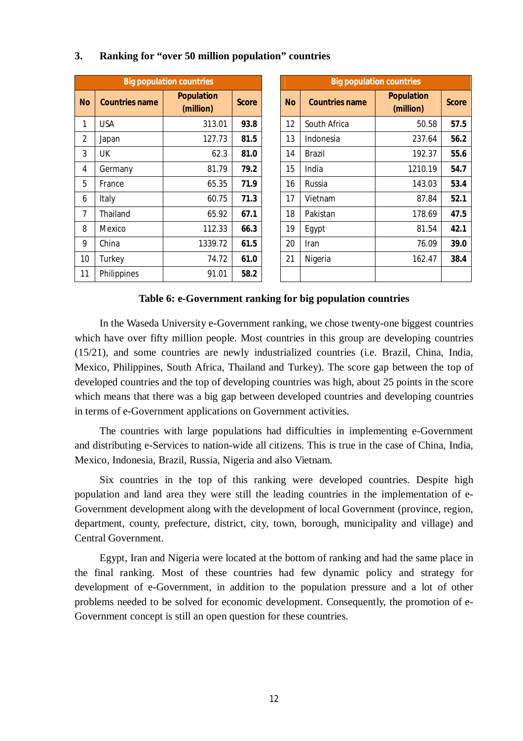|                |                       | <b>Big population countries</b> |              | <b>Big population countries</b> |                       |                                |              |  |  |  |
|----------------|-----------------------|---------------------------------|--------------|---------------------------------|-----------------------|--------------------------------|--------------|--|--|--|
| <b>No</b>      | <b>Countries name</b> | <b>Population</b><br>(million)  | <b>Score</b> | <b>No</b>                       | <b>Countries name</b> | <b>Population</b><br>(million) | <b>Score</b> |  |  |  |
| 1              | <b>USA</b>            | 313.01                          | 93.8         | 12                              | South Africa          | 50.58                          | 57.5         |  |  |  |
| $\overline{2}$ | Japan                 | 127.73                          | 81.5         | 13                              | Indonesia             | 237.64                         | 56.2         |  |  |  |
| 3              | UK                    | 62.3                            | 81.0         | 14                              | <b>Brazil</b>         | 192.37                         | 55.6         |  |  |  |
| 4              | Germany               | 81.79                           | 79.2         | 15                              | India                 | 1210.19                        | 54.7         |  |  |  |
| 5              | France                | 65.35                           | 71.9         | 16                              | Russia                | 143.03                         | 53.4         |  |  |  |
| 6              | Italy                 | 60.75                           | 71.3         | 17                              | Vietnam               | 87.84                          | 52.1         |  |  |  |
| 7              | Thailand              | 65.92                           | 67.1         | 18                              | Pakistan              | 178.69                         | 47.5         |  |  |  |
| 8              | Mexico                | 112.33                          | 66.3         | 19                              | Egypt                 | 81.54                          | 42.1         |  |  |  |
| 9              | China                 | 1339.72                         | 61.5         | 20                              | Iran                  | 76.09                          | 39.0         |  |  |  |
| 10             | Turkey                | 74.72                           | 61.0         | 21                              | Nigeria               | 162.47                         | 38.4         |  |  |  |
| 11             | Philippines           | 91.01                           | 58.2         |                                 |                       |                                |              |  |  |  |

#### **3. Ranking for "over 50 million population" countries**

#### **Table 6: e-Government ranking for big population countries**

In the Waseda University e-Government ranking, we chose twenty-one biggest countries which have over fifty million people. Most countries in this group are developing countries (15/21), and some countries are newly industrialized countries (i.e. Brazil, China, India, Mexico, Philippines, South Africa, Thailand and Turkey). The score gap between the top of developed countries and the top of developing countries was high, about 25 points in the score which means that there was a big gap between developed countries and developing countries in terms of e-Government applications on Government activities.

The countries with large populations had difficulties in implementing e-Government and distributing e-Services to nation-wide all citizens. This is true in the case of China, India, Mexico, Indonesia, Brazil, Russia, Nigeria and also Vietnam.

Six countries in the top of this ranking were developed countries. Despite high population and land area they were still the leading countries in the implementation of e-Government development along with the development of local Government (province, region, department, county, prefecture, district, city, town, borough, municipality and village) and Central Government.

Egypt, Iran and Nigeria were located at the bottom of ranking and had the same place in the final ranking. Most of these countries had few dynamic policy and strategy for development of e-Government, in addition to the population pressure and a lot of other problems needed to be solved for economic development. Consequently, the promotion of e-Government concept is still an open question for these countries.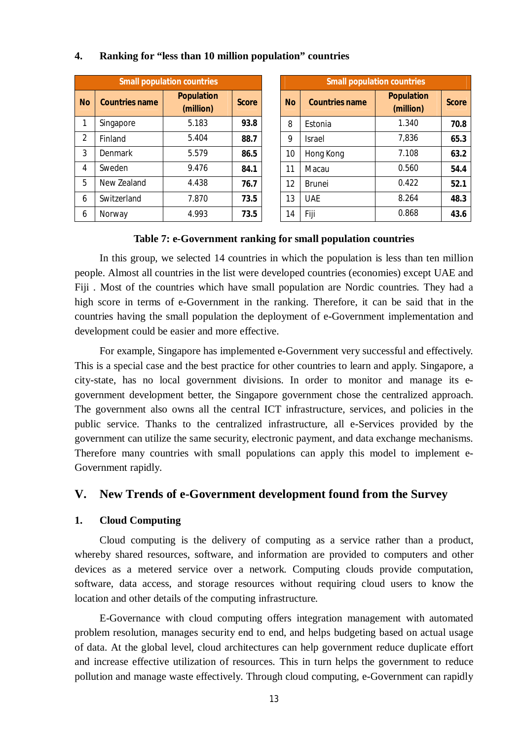| <b>Small population countries</b> |                       |                                |              |  |  |  |  |  |
|-----------------------------------|-----------------------|--------------------------------|--------------|--|--|--|--|--|
| <b>No</b>                         | <b>Countries name</b> | <b>Population</b><br>(million) | <b>Score</b> |  |  |  |  |  |
| 1                                 | Singapore             | 5.183                          | 93.8         |  |  |  |  |  |
| $\overline{2}$                    | Finland               | 5.404                          | 88.7         |  |  |  |  |  |
| 3                                 | Denmark               | 5.579                          | 86.5         |  |  |  |  |  |
| 4                                 | Sweden                | 9.476                          | 84.1         |  |  |  |  |  |
| 5                                 | New Zealand           | 4.438                          | 76.7         |  |  |  |  |  |
| 6                                 | Switzerland           | 7.870                          | 73.5         |  |  |  |  |  |
| 6                                 | Norway                | 4.993                          | 73.5         |  |  |  |  |  |

## **4. Ranking for "less than 10 million population" countries**

| <b>Small population countries</b> |                       |                                |              | <b>Small population countries</b> |                       |                                |  |  |  |
|-----------------------------------|-----------------------|--------------------------------|--------------|-----------------------------------|-----------------------|--------------------------------|--|--|--|
| ١o                                | <b>Countries name</b> | <b>Population</b><br>(million) | <b>Score</b> | <b>No</b>                         | <b>Countries name</b> | <b>Population</b><br>(million) |  |  |  |
| 1                                 | Singapore             | 5.183                          | 93.8         | 8                                 | Estonia               | 1.340                          |  |  |  |
| 2                                 | Finland               | 5.404                          | 88.7         | 9                                 | <b>Israel</b>         | 7,836                          |  |  |  |
| 3                                 | Denmark               | 5.579                          | 86.5         | 10                                | Hong Kong             | 7.108                          |  |  |  |
| 4                                 | Sweden                | 9.476                          | 84.1         | 11                                | Macau                 | 0.560                          |  |  |  |
| 5                                 | New Zealand           | 4.438                          | 76.7         | 12                                | <b>Brunei</b>         | 0.422                          |  |  |  |
| 6                                 | Switzerland           | 7.870                          | 73.5         | 13                                | <b>UAE</b>            | 8.264                          |  |  |  |
| 6                                 | Norway                | 4.993                          | 73.5         | 14                                | Fiji                  | 0.868                          |  |  |  |

#### **Table 7: e-Government ranking for small population countries**

In this group, we selected 14 countries in which the population is less than ten million people. Almost all countries in the list were developed countries (economies) except UAE and Fiji . Most of the countries which have small population are Nordic countries. They had a high score in terms of e-Government in the ranking. Therefore, it can be said that in the countries having the small population the deployment of e-Government implementation and development could be easier and more effective.

For example, Singapore has implemented e-Government very successful and effectively. This is a special case and the best practice for other countries to learn and apply. Singapore, a city-state, has no local government divisions. In order to monitor and manage its egovernment development better, the Singapore government chose the centralized approach. The government also owns all the central ICT infrastructure, services, and policies in the public service. Thanks to the centralized infrastructure, all e-Services provided by the government can utilize the same security, electronic payment, and data exchange mechanisms. Therefore many countries with small populations can apply this model to implement e-Government rapidly.

## **V. New Trends of e-Government development found from the Survey**

#### **1. Cloud Computing**

Cloud computing is the delivery of computing as a service rather than a product, whereby shared resources, software, and information are provided to computers and other devices as a metered service over a network. Computing clouds provide computation, software, data access, and storage resources without requiring cloud users to know the location and other details of the computing infrastructure.

E-Governance with cloud computing offers integration management with automated problem resolution, manages security end to end, and helps budgeting based on actual usage of data. At the global level, cloud architectures can help government reduce duplicate effort and increase effective utilization of resources. This in turn helps the government to reduce pollution and manage waste effectively. Through cloud computing, e-Government can rapidly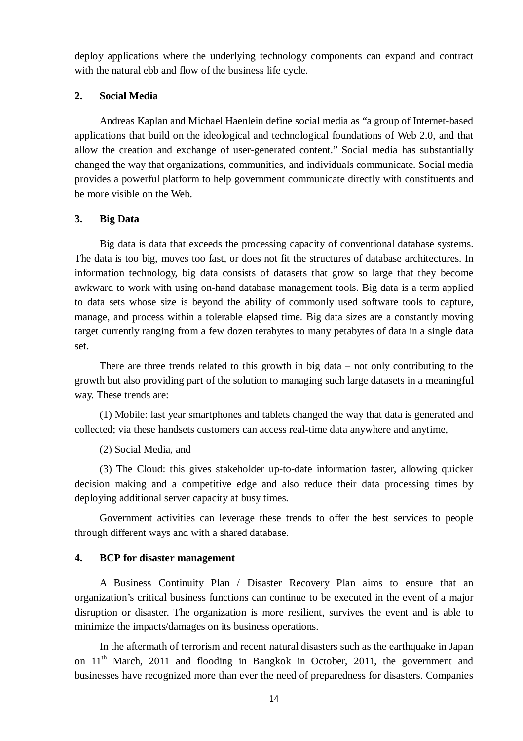deploy applications where the underlying technology components can expand and contract with the natural ebb and flow of the business life cycle.

#### **2. Social Media**

Andreas Kaplan and Michael Haenlein define social media as "a group of Internet-based applications that build on the ideological and technological foundations of Web 2.0, and that allow the creation and exchange of user-generated content." Social media has substantially changed the way that organizations, communities, and individuals communicate. Social media provides a powerful platform to help government communicate directly with constituents and be more visible on the Web.

## **3. Big Data**

Big data is data that exceeds the processing capacity of conventional database systems. The data is too big, moves too fast, or does not fit the structures of database architectures. In information technology, big data consists of datasets that grow so large that they become awkward to work with using on-hand database management tools. Big data is a term applied to data sets whose size is beyond the ability of commonly used software tools to capture, manage, and process within a tolerable elapsed time. Big data sizes are a constantly moving target currently ranging from a few dozen terabytes to many petabytes of data in a single data set.

There are three trends related to this growth in big data – not only contributing to the growth but also providing part of the solution to managing such large datasets in a meaningful way. These trends are:

(1) Mobile: last year smartphones and tablets changed the way that data is generated and collected; via these handsets customers can access real-time data anywhere and anytime,

(2) Social Media, and

(3) The Cloud: this gives stakeholder up-to-date information faster, allowing quicker decision making and a competitive edge and also reduce their data processing times by deploying additional server capacity at busy times.

Government activities can leverage these trends to offer the best services to people through different ways and with a shared database.

#### **4. BCP for disaster management**

A Business Continuity Plan / Disaster Recovery Plan aims to ensure that an organization's critical business functions can continue to be executed in the event of a major disruption or disaster. The organization is more resilient, survives the event and is able to minimize the impacts/damages on its business operations.

In the aftermath of terrorism and recent natural disasters such as the earthquake in Japan on 11<sup>th</sup> March, 2011 and flooding in Bangkok in October, 2011, the government and businesses have recognized more than ever the need of preparedness for disasters. Companies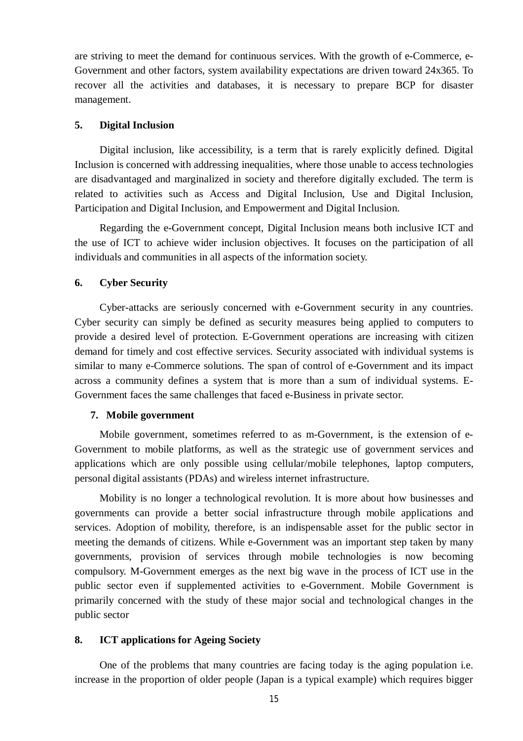are striving to meet the demand for continuous services. With the growth of e-Commerce, e-Government and other factors, system availability expectations are driven toward 24x365. To recover all the activities and databases, it is necessary to prepare BCP for disaster management.

#### **5. Digital Inclusion**

Digital inclusion, like accessibility, is a term that is rarely explicitly defined. Digital Inclusion is concerned with addressing inequalities, where those unable to access technologies are disadvantaged and marginalized in society and therefore digitally excluded. The term is related to activities such as Access and Digital Inclusion, Use and Digital Inclusion, Participation and Digital Inclusion, and Empowerment and Digital Inclusion.

Regarding the e-Government concept, Digital Inclusion means both inclusive ICT and the use of ICT to achieve wider inclusion objectives. It focuses on the participation of all individuals and communities in all aspects of the information society.

#### **6. Cyber Security**

Cyber-attacks are seriously concerned with e-Government security in any countries. Cyber security can simply be defined as security measures being applied to computers to provide a desired level of protection. E-Government operations are increasing with citizen demand for timely and cost effective services. Security associated with individual systems is similar to many e-Commerce solutions. The span of control of e-Government and its impact across a community defines a system that is more than a sum of individual systems. E-Government faces the same challenges that faced e-Business in private sector.

#### **7. Mobile government**

Mobile government, sometimes referred to as m-Government, is the extension of e-Government to mobile platforms, as well as the strategic use of government services and applications which are only possible using cellular/mobile telephones, laptop computers, personal digital assistants (PDAs) and wireless internet infrastructure.

Mobility is no longer a technological revolution. It is more about how businesses and governments can provide a better social infrastructure through mobile applications and services. Adoption of mobility, therefore, is an indispensable asset for the public sector in meeting the demands of citizens. While e-Government was an important step taken by many governments, provision of services through mobile technologies is now becoming compulsory. M-Government emerges as the next big wave in the process of ICT use in the public sector even if supplemented activities to e-Government. Mobile Government is primarily concerned with the study of these major social and technological changes in the public sector

#### **8. ICT applications for Ageing Society**

One of the problems that many countries are facing today is the aging population i.e. increase in the proportion of older people (Japan is a typical example) which requires bigger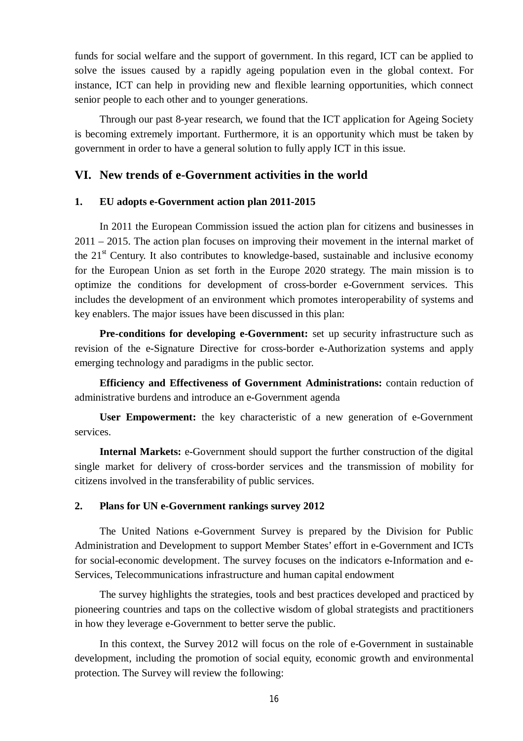funds for social welfare and the support of government. In this regard, ICT can be applied to solve the issues caused by a rapidly ageing population even in the global context. For instance, ICT can help in providing new and flexible learning opportunities, which connect senior people to each other and to younger generations.

Through our past 8-year research, we found that the ICT application for Ageing Society is becoming extremely important. Furthermore, it is an opportunity which must be taken by government in order to have a general solution to fully apply ICT in this issue.

## **VI. New trends of e-Government activities in the world**

#### **1. EU adopts e-Government action plan 2011-2015**

In 2011 the European Commission issued the action plan for citizens and businesses in 2011 – 2015. The action plan focuses on improving their movement in the internal market of the  $21<sup>st</sup>$  Century. It also contributes to knowledge-based, sustainable and inclusive economy for the European Union as set forth in the Europe 2020 strategy. The main mission is to optimize the conditions for development of cross-border e-Government services. This includes the development of an environment which promotes interoperability of systems and key enablers. The major issues have been discussed in this plan:

**Pre-conditions for developing e-Government:** set up security infrastructure such as revision of the e-Signature Directive for cross-border e-Authorization systems and apply emerging technology and paradigms in the public sector.

**Efficiency and Effectiveness of Government Administrations:** contain reduction of administrative burdens and introduce an e-Government agenda

**User Empowerment:** the key characteristic of a new generation of e-Government services.

**Internal Markets:** e-Government should support the further construction of the digital single market for delivery of cross-border services and the transmission of mobility for citizens involved in the transferability of public services.

#### **2. Plans for UN e-Government rankings survey 2012**

The United Nations e-Government Survey is prepared by the Division for Public Administration and Development to support Member States' effort in e-Government and ICTs for social-economic development. The survey focuses on the indicators e-Information and e-Services, Telecommunications infrastructure and human capital endowment

The survey highlights the strategies, tools and best practices developed and practiced by pioneering countries and taps on the collective wisdom of global strategists and practitioners in how they leverage e-Government to better serve the public.

In this context, the Survey 2012 will focus on the role of e-Government in sustainable development, including the promotion of social equity, economic growth and environmental protection. The Survey will review the following: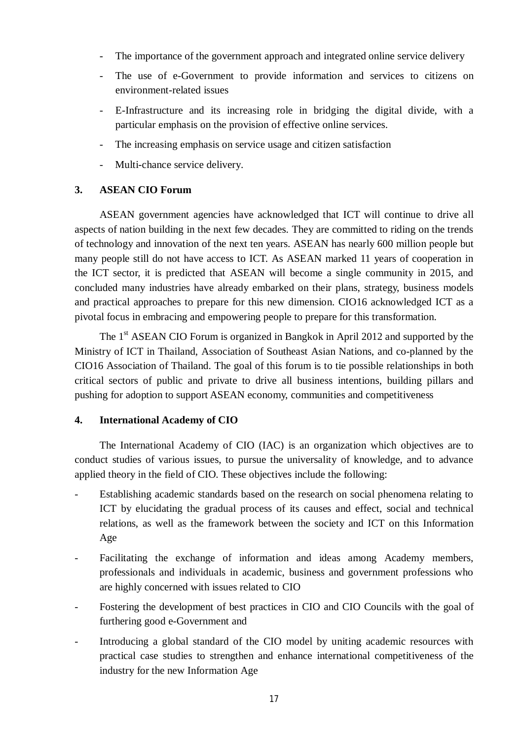- The importance of the government approach and integrated online service delivery
- The use of e-Government to provide information and services to citizens on environment-related issues
- E-Infrastructure and its increasing role in bridging the digital divide, with a particular emphasis on the provision of effective online services.
- The increasing emphasis on service usage and citizen satisfaction
- Multi-chance service delivery.

## **3. ASEAN CIO Forum**

ASEAN government agencies have acknowledged that ICT will continue to drive all aspects of nation building in the next few decades. They are committed to riding on the trends of technology and innovation of the next ten years. ASEAN has nearly 600 million people but many people still do not have access to ICT. As ASEAN marked 11 years of cooperation in the ICT sector, it is predicted that ASEAN will become a single community in 2015, and concluded many industries have already embarked on their plans, strategy, business models and practical approaches to prepare for this new dimension. CIO16 acknowledged ICT as a pivotal focus in embracing and empowering people to prepare for this transformation.

The 1<sup>st</sup> ASEAN CIO Forum is organized in Bangkok in April 2012 and supported by the Ministry of ICT in Thailand, Association of Southeast Asian Nations, and co-planned by the CIO16 Association of Thailand. The goal of this forum is to tie possible relationships in both critical sectors of public and private to drive all business intentions, building pillars and pushing for adoption to support ASEAN economy, communities and competitiveness

#### **4. International Academy of CIO**

The International Academy of CIO (IAC) is an organization which objectives are to conduct studies of various issues, to pursue the universality of knowledge, and to advance applied theory in the field of CIO. These objectives include the following:

- Establishing academic standards based on the research on social phenomena relating to ICT by elucidating the gradual process of its causes and effect, social and technical relations, as well as the framework between the society and ICT on this Information Age
- Facilitating the exchange of information and ideas among Academy members, professionals and individuals in academic, business and government professions who are highly concerned with issues related to CIO
- Fostering the development of best practices in CIO and CIO Councils with the goal of furthering good e-Government and
- Introducing a global standard of the CIO model by uniting academic resources with practical case studies to strengthen and enhance international competitiveness of the industry for the new Information Age